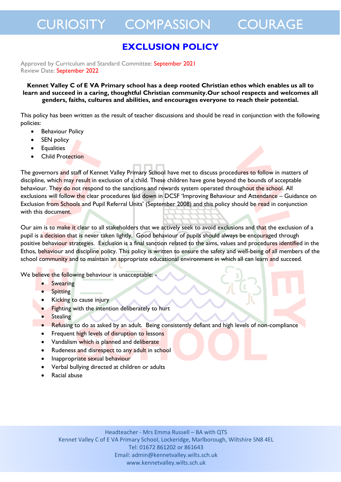### **EXCLUSION POLICY**

Approved by Curriculum and Standard Committee: September 2021 Review Date: September 2022

**Kennet Valley C of E VA Primary school has a deep rooted Christian ethos which enables us all to learn and succeed in a caring, thoughtful Christian community.Our school respects and welcomes all genders, faiths, cultures and abilities, and encourages everyone to reach their potential.** 

This policy has been written as the result of teacher discussions and should be read in conjunction with the following policies:

- Behaviour Policy
- SEN policy
- **Equalities**
- Child Protection

The governors and staff of Kennet Valley Primary School have met to discuss procedures to follow in matters of discipline, which may result in exclusion of a child. These children have gone beyond the bounds of acceptable behaviour. They do not respond to the sanctions and rewards system operated throughout the school. All exclusions will follow the clear procedures laid down in DCSF 'Improving Behaviour and Attendance – Guidance on Exclusion from Schools and Pupil Referral Units' (September 2008) and this policy should be read in conjunction with this document.

Our aim is to make it clear to all stakeholders that we actively seek to avoid exclusions and that the exclusion of a pupil is a decision that is never taken lightly. Good behaviour of pupils should always be encouraged through positive behaviour strategies. Exclusion is a final sanction related to the aims, values and procedures identified in the Ethos, behaviour and discipline policy. This policy is written to ensure the safety and well-being of all members of the school community and to maintain an appropriate educational environment in which all can learn and succeed.

We believe the following behaviour is unacceptable: -

- **Swearing**
- Spitting
- Kicking to cause injury
- Fighting with the intention deliberately to hurt
- **•** Stealing
- Refusing to do as asked by an adult. Being consistently defiant and high levels of non-compliance
- Frequent high levels of disruption to lessons
- Vandalism which is planned and deliberate
- Rudeness and disrespect to any adult in school
- Inappropriate sexual behaviour
- Verbal bullying directed at children or adults
- Racial abuse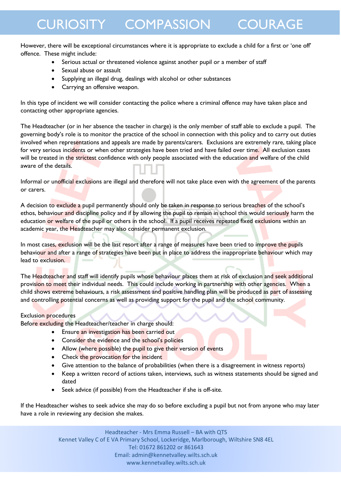However, there will be exceptional circumstances where it is appropriate to exclude a child for a first or 'one off' offence. These might include:

- Serious actual or threatened violence against another pupil or a member of staff
- Sexual abuse or assault
- Supplying an illegal drug, dealings with alcohol or other substances
- Carrying an offensive weapon.

In this type of incident we will consider contacting the police where a criminal offence may have taken place and contacting other appropriate agencies.

The Headteacher (or in her absence the teacher in charge) is the only member of staff able to exclude a pupil. The governing body's role is to monitor the practice of the school in connection with this policy and to carry out duties involved when representations and appeals are made by parents/carers. Exclusions are extremely rare, taking place for very serious incidents or when other strategies have been tried and have failed over time. All exclusion cases will be treated in the strictest confidence with only people associated with the education and welfare of the child aware of the details.

Informal or unofficial exclusions are illegal and therefore will not take place even with the agreement of the parents or carers.

A decision to exclude a pupil permanently should only be taken in response to serious breaches of the school's ethos, behaviour and discipline policy and if by allowing the pupil to remain in school this would seriously harm the education or welfare of the pupil or others in the school. If a pupil receives repeated fixed exclusions within an academic year, the Headteacher may also consider permanent exclusion.

In most cases, exclusion will be the last resort after a range of measures have been tried to improve the pupils behaviour and after a range of strategies have been put in place to address the inappropriate behaviour which may lead to exclusion.

The Headteacher and staff will identify pupils whose behaviour places them at risk of exclusion and seek additional provision to meet their individual needs. This could include working in partnership with other agencies. When a child shows extreme behaviours, a risk assessment and positive handling plan will be produced as part of assessing and controlling potential concerns as well as providing support for the pupil and the school community.

#### Exclusion procedures

Before excluding the Headteacher/teacher in charge should:

- **Ensure an investigation has been carried out**
- Consider the evidence and the school's policies
- Allow (where possible) the pupil to give their version of events
- Check the provocation for the incident
- Give attention to the balance of probabilities (when there is a disagreement in witness reports)
- Keep a written record of actions taken, interviews, such as witness statements should be signed and dated
- Seek advice (if possible) from the Headteacher if she is off-site.

If the Headteacher wishes to seek advice she may do so before excluding a pupil but not from anyone who may later have a role in reviewing any decision she makes.

> Headteacher - Mrs Emma Russell – BA with QTS Kennet Valley C of E VA Primary School, Lockeridge, Marlborough, Wiltshire SN8 4EL Tel: 01672 861202 or 861643 Email: admin@kennetvalley.wilts.sch.uk www.kennetvalley.wilts.sch.uk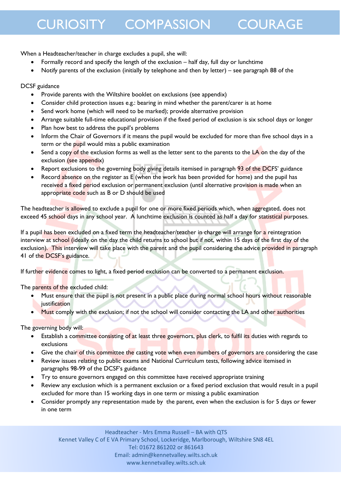When a Headteacher/teacher in charge excludes a pupil, she will:

- Formally record and specify the length of the exclusion half day, full day or lunchtime
- Notify parents of the exclusion (initially by telephone and then by letter) see paragraph 88 of the

#### DCSF guidance

- Provide parents with the Wiltshire booklet on exclusions (see appendix)
- Consider child protection issues e.g.: bearing in mind whether the parent/carer is at home
- Send work home (which will need to be marked); provide alternative provision
- Arrange suitable full-time educational provision if the fixed period of exclusion is six school days or longer
- Plan how best to address the pupil's problems
- Inform the Chair of Governors if it means the pupil would be excluded for more than five school days in a term or the pupil would miss a public examination
- Send a copy of the exclusion forms as well as the letter sent to the parents to the LA on the day of the exclusion (see appendix)
- Report exclusions to the governing body giving details itemised in paragraph 93 of the DCFS' guidance
- Record absence on the register as E (when the work has been provided for home) and the pupil has received a fixed period exclusion or permanent exclusion (until alternative provision is made when an appropriate code such as B or D should be used

The headteacher is allowed to exclude a pupil for one or more fixed periods which, when aggregated, does not exceed 45 school days in any school year. A lunchtime exclusion is counted as half a day for statistical purposes.

If a pupil has been excluded on a fixed term the headteacher/teacher in charge will arrange for a reintegration interview at school (ideally on the day the child returns to school but if not, within 15 days of the first day of the exclusion). This interview will take place with the parent and the pupil considering the advice provided in paragraph 41 of the DCSF's guidance.

If further evidence comes to light, a fixed period exclusion can be converted to a permanent exclusion.

The parents of the excluded child:

- Must ensure that the pupil is not present in a public place during normal school hours without reasonable justification
- Must comply with the exclusion; if not the school will consider contacting the LA and other authorities

The governing body will:

- Establish a committee consisting of at least three governors, plus clerk, to fulfil its duties with regards to exclusions
- Give the chair of this committee the casting vote when even numbers of governors are considering the case
- Review issues relating to public exams and National Curriculum tests, following advice itemised in paragraphs 98-99 of the DCSF's guidance
- Try to ensure governors engaged on this committee have received appropriate training
- Review any exclusion which is a permanent exclusion or a fixed period exclusion that would result in a pupil excluded for more than 15 working days in one term or missing a public examination
- Consider promptly any representation made by the parent, even when the exclusion is for 5 days or fewer in one term